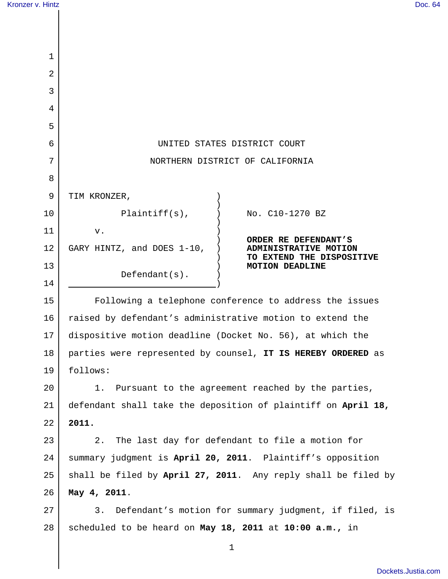| Kronzer v. Hintz |                                                                                                            |                                                       | Doc. 64 |
|------------------|------------------------------------------------------------------------------------------------------------|-------------------------------------------------------|---------|
|                  |                                                                                                            |                                                       |         |
|                  |                                                                                                            |                                                       |         |
| 1                |                                                                                                            |                                                       |         |
| 2                |                                                                                                            |                                                       |         |
| 3                |                                                                                                            |                                                       |         |
| 4                |                                                                                                            |                                                       |         |
| 5                |                                                                                                            |                                                       |         |
| 6                | UNITED STATES DISTRICT COURT                                                                               |                                                       |         |
| 7                | NORTHERN DISTRICT OF CALIFORNIA                                                                            |                                                       |         |
| 8                |                                                                                                            |                                                       |         |
| 9                | TIM KRONZER,                                                                                               |                                                       |         |
| 10               | $Plaintiff(s)$ ,                                                                                           | No. C10-1270 BZ                                       |         |
| 11<br>12         | v.                                                                                                         | ORDER RE DEFENDANT'S                                  |         |
| 13               | GARY HINTZ, and DOES 1-10,<br>ADMINISTRATIVE MOTION<br>TO EXTEND THE DISPOSITIVE<br><b>MOTION DEADLINE</b> |                                                       |         |
| 14               | $Defendant(s)$ .                                                                                           |                                                       |         |
| 15               | Following a telephone conference to address the issues                                                     |                                                       |         |
| 16               | raised by defendant's administrative motion to extend the                                                  |                                                       |         |
| 17               | dispositive motion deadline (Docket No. 56), at which the                                                  |                                                       |         |
| 18               | parties were represented by counsel, IT IS HEREBY ORDERED as                                               |                                                       |         |
| 19               | follows:                                                                                                   |                                                       |         |
| 20               | Pursuant to the agreement reached by the parties,<br>1.                                                    |                                                       |         |
| 21               | defendant shall take the deposition of plaintiff on April 18,                                              |                                                       |         |
| 22               | 2011.                                                                                                      |                                                       |         |
| 23               | The last day for defendant to file a motion for<br>2.                                                      |                                                       |         |
| 24               | summary judgment is April 20, 2011. Plaintiff's opposition                                                 |                                                       |         |
| 25               | shall be filed by April 27, 2011. Any reply shall be filed by                                              |                                                       |         |
| 26               | May 4, 2011.                                                                                               |                                                       |         |
| 27               | 3.                                                                                                         | Defendant's motion for summary judgment, if filed, is |         |
| 28               | scheduled to be heard on May 18, 2011 at 10:00 a.m., in                                                    |                                                       |         |
|                  |                                                                                                            | 1                                                     |         |

[Dockets.Justia.com](http://dockets.justia.com/)